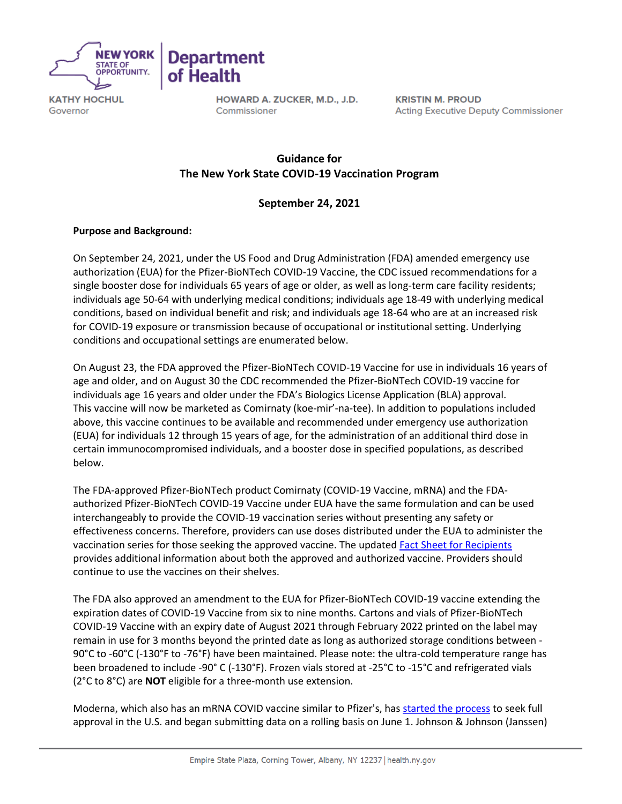

Governor



HOWARD A. ZUCKER, M.D., J.D. Commissioner

**KRISTIN M. PROUD Acting Executive Deputy Commissioner** 

# **Guidance for   The New York State COVID-19 Vaccination Program**

# **September 24, 2021**

# **Purpose and Background:**

On September 24, 2021, under the US Food and Drug Administration (FDA) amended emergency use authorization (EUA) for the Pfizer-BioNTech COVID-19 Vaccine, the CDC issued recommendations for a single booster dose for individuals 65 years of age or older, as well as long-term care facility residents; individuals age 50-64 with underlying medical conditions; individuals age 18-49 with underlying medical conditions, based on individual benefit and risk; and individuals age 18-64 who are at an increased risk for COVID-19 exposure or transmission because of occupational or institutional setting. Underlying conditions and occupational settings are enumerated below.

On August 23, the FDA approved the Pfizer-BioNTech COVID-19 Vaccine for use in individuals 16 years of age and older, and on August 30 the CDC recommended the Pfizer-BioNTech COVID-19 vaccine for individuals age 16 years and older under the FDA's Biologics License Application (BLA) approval. This vaccine will now be marketed as Comirnaty (koe-mir'-na-tee). In addition to populations included above, this vaccine continues to be available and recommended under emergency use authorization (EUA) for individuals 12 through 15 years of age, for the administration of an additional third dose in certain immunocompromised individuals, and a booster dose in specified populations, as described below.

The FDA-approved Pfizer-BioNTech product Comirnaty (COVID-19 Vaccine, mRNA) and the FDAauthorized Pfizer-BioNTech COVID-19 Vaccine under EUA have the same formulation and can be used interchangeably to provide the COVID-19 vaccination series without presenting any safety or effectiveness concerns. Therefore, providers can use doses distributed under the EUA to administer the vaccination series for those seeking the approved vaccine. The updated [Fact Sheet for Recipients](https://www.fda.gov/media/144414/download) provides additional information about both the approved and authorized vaccine. Providers should continue to use the vaccines on their shelves.

The FDA also approved an amendment to the EUA for Pfizer-BioNTech COVID-19 vaccine extending the expiration dates of COVID-19 Vaccine from six to nine months. Cartons and vials of Pfizer-BioNTech COVID-19 Vaccine with an expiry date of August 2021 through February 2022 printed on the label may remain in use for 3 months beyond the printed date as long as authorized storage conditions between - 90°C to -60°C (-130°F to -76°F) have been maintained. Please note: the ultra-cold temperature range has been broadened to include -90° C (-130°F). Frozen vials stored at -25°C to -15°C and refrigerated vials (2°C to 8°C) are **NOT** eligible for a three-month use extension.

Moderna, which also has an mRNA COVID vaccine similar to Pfizer's, has [started the process](https://click.everyaction.com/k/34526788/302243254/1521103528?nvep=ew0KICAiVGVuYW50VXJpIjogIm5ncHZhbjovL3Zhbi9FQS9FQTAwMi8xLzY2MDcxIiwNCiAgIkRpc3RyaWJ1dGlvblVuaXF1ZUlkIjogIjRkMTkwMmJiLTJjMDQtZWMxMS1iNTYzLTUwMWFjNTdiOGZhNyIsDQogICJFbWFpbEFkZHJlc3MiOiAiZWxpemFiZXRoLnJhdXNjaC1waHVuZ0BoZWFsdGgubnkuZ292Ig0KfQ%3D%3D&hmac=723yrOm_0btEEKCtVhspsCGSQbP-16_2XsGdWpJKcYE=&emci=0f9b9d99-1604-ec11-b563-501ac57b8fa7&emdi=4d1902bb-2c04-ec11-b563-501ac57b8fa7&ceid=4111197) to seek full approval in the U.S. and began submitting data on a rolling basis on June 1. Johnson & Johnson (Janssen)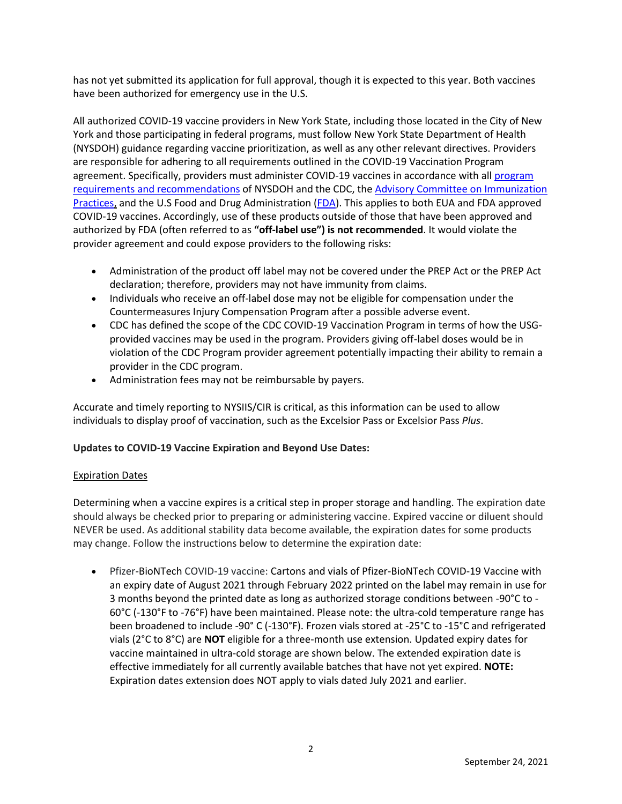has not yet submitted its application for full approval, though it is expected to this year. Both vaccines have been authorized for emergency use in the U.S.

All authorized COVID-19 vaccine providers in New York State, including those located in the City of New York and those participating in federal programs, must follow New York State Department of Health (NYSDOH) guidance regarding vaccine prioritization, as well as any other relevant directives. Providers are responsible for adhering to all requirements outlined in the COVID-19 Vaccination Program agreement. Specifically, providers must administer COVID-19 vaccines in accordance with al[l program](https://www.cdc.gov/vaccines/covid-19/vaccination-provider-support.html)  [requirements and recommendations](https://www.cdc.gov/vaccines/covid-19/vaccination-provider-support.html) of NYSDOH and the CDC, the [Advisory Committee on Immunization](https://www.cdc.gov/vaccines/hcp/acip-recs/vacc-specific/covid-19.html)  [Practices,](https://www.cdc.gov/vaccines/hcp/acip-recs/vacc-specific/covid-19.html) and the U.S Food and Drug Administration [\(FDA\)](https://www.fda.gov/emergency-preparedness-and-response/coronavirus-disease-2019-covid-19/covid-19-vaccines). This applies to both EUA and FDA approved COVID-19 vaccines. Accordingly, use of these products outside of those that have been approved and authorized by FDA (often referred to as **"off-label use") is not recommended**. It would violate the provider agreement and could expose providers to the following risks:

- Administration of the product off label may not be covered under the PREP Act or the PREP Act declaration; therefore, providers may not have immunity from claims.
- Individuals who receive an off-label dose may not be eligible for compensation under the Countermeasures Injury Compensation Program after a possible adverse event.
- CDC has defined the scope of the CDC COVID-19 Vaccination Program in terms of how the USGprovided vaccines may be used in the program. Providers giving off-label doses would be in violation of the CDC Program provider agreement potentially impacting their ability to remain a provider in the CDC program.
- Administration fees may not be reimbursable by payers.

Accurate and timely reporting to NYSIIS/CIR is critical, as this information can be used to allow individuals to display proof of vaccination, such as the Excelsior Pass or Excelsior Pass *Plus*.

## **Updates to COVID-19 Vaccine Expiration and Beyond Use Dates:**

## Expiration Dates

Determining when a vaccine expires is a critical step in proper storage and handling. The expiration date should always be checked prior to preparing or administering vaccine. Expired vaccine or diluent should NEVER be used. As additional stability data become available, the expiration dates for some products may change. Follow the instructions below to determine the expiration date:

• Pfizer-BioNTech COVID-19 vaccine: Cartons and vials of Pfizer-BioNTech COVID-19 Vaccine with an expiry date of August 2021 through February 2022 printed on the label may remain in use for 3 months beyond the printed date as long as authorized storage conditions between -90°C to - 60°C (-130°F to -76°F) have been maintained. Please note: the ultra-cold temperature range has been broadened to include -90° C (-130°F). Frozen vials stored at -25°C to -15°C and refrigerated vials (2°C to 8°C) are **NOT** eligible for a three-month use extension. Updated expiry dates for vaccine maintained in ultra-cold storage are shown below. The extended expiration date is effective immediately for all currently available batches that have not yet expired. **NOTE:** Expiration dates extension does NOT apply to vials dated July 2021 and earlier.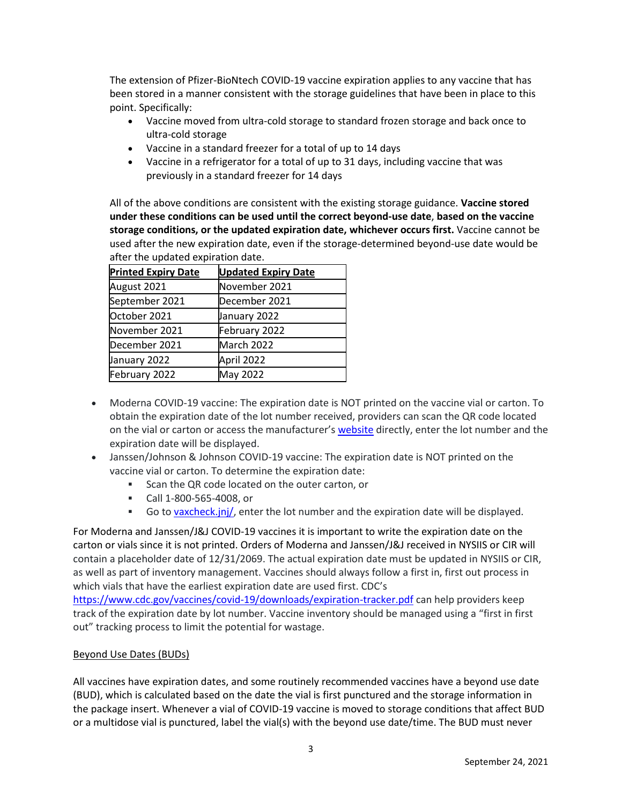The extension of Pfizer-BioNtech COVID-19 vaccine expiration applies to any vaccine that has been stored in a manner consistent with the storage guidelines that have been in place to this point. Specifically:

- Vaccine moved from ultra-cold storage to standard frozen storage and back once to ultra-cold storage
- Vaccine in a standard freezer for a total of up to 14 days
- Vaccine in a refrigerator for a total of up to 31 days, including vaccine that was previously in a standard freezer for 14 days

All of the above conditions are consistent with the existing storage guidance. **Vaccine stored under these conditions can be used until the correct beyond-use date**, **based on the vaccine storage conditions, or the updated expiration date, whichever occurs first.** Vaccine cannot be used after the new expiration date, even if the storage-determined beyond-use date would be after the updated expiration date.

| <b>Printed Expiry Date</b> | <b>Updated Expiry Date</b> |
|----------------------------|----------------------------|
| August 2021                | November 2021              |
| September 2021             | December 2021              |
| October 2021               | January 2022               |
| November 2021              | February 2022              |
| December 2021              | March 2022                 |
| January 2022               | April 2022                 |
| February 2022              | May 2022                   |

- Moderna COVID-19 vaccine: The expiration date is NOT printed on the vaccine vial or carton. To obtain the expiration date of the lot number received, providers can scan the QR code located on the vial or carton or access the manufacturer's [website](https://www.modernatx.com/covid19vaccine-eua/providers/vial-lookup) directly, enter the lot number and the expiration date will be displayed.
- Janssen/Johnson & Johnson COVID-19 vaccine: The expiration date is NOT printed on the vaccine vial or carton. To determine the expiration date:
	- Scan the QR code located on the outer carton, or
	- Call 1-800-565-4008, or
	- **•** Go to [vaxcheck.jnj/,](https://vaxcheck.jnj/) enter the lot number and the expiration date will be displayed.

For Moderna and Janssen/J&J COVID-19 vaccines it is important to write the expiration date on the carton or vials since it is not printed. Orders of Moderna and Janssen/J&J received in NYSIIS or CIR will contain a placeholder date of 12/31/2069. The actual expiration date must be updated in NYSIIS or CIR, as well as part of inventory management. Vaccines should always follow a first in, first out process in which vials that have the earliest expiration date are used first. CDC's

<https://www.cdc.gov/vaccines/covid-19/downloads/expiration-tracker.pdf> can help providers keep track of the expiration date by lot number. Vaccine inventory should be managed using a "first in first out" tracking process to limit the potential for wastage.

# Beyond Use Dates (BUDs)

All vaccines have expiration dates, and some routinely recommended vaccines have a beyond use date (BUD), which is calculated based on the date the vial is first punctured and the storage information in the package insert. Whenever a vial of COVID-19 vaccine is moved to storage conditions that affect BUD or a multidose vial is punctured, label the vial(s) with the beyond use date/time. The BUD must never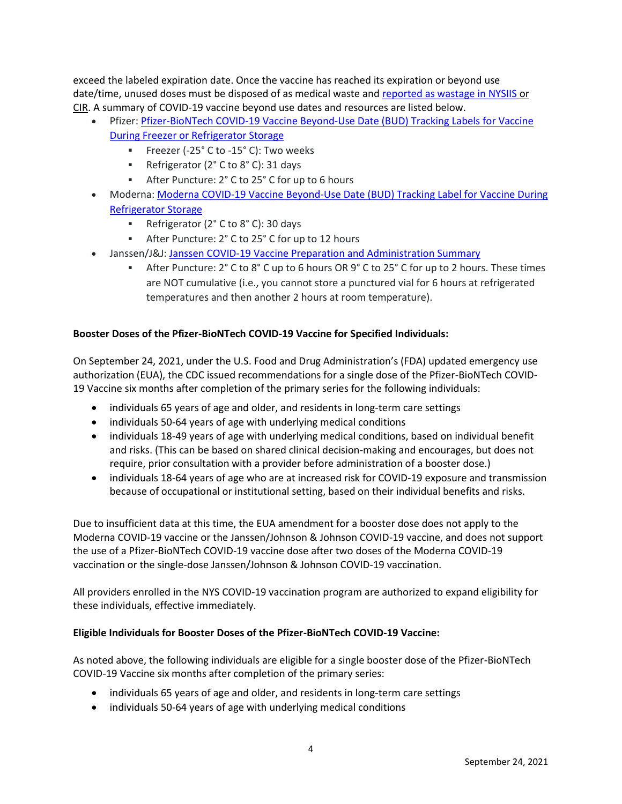exceed the labeled expiration date. Once the vaccine has reached its expiration or beyond use date/time, unused doses must be disposed of as medical waste and [reported as wastage in NYSIIS](https://coronavirus.health.ny.gov/system/files/documents/2021/05/covid-19-vaccine-wastage-reporting-guidance.pdf) or CIR. A summary of COVID-19 vaccine beyond use dates and resources are listed below.

- Pfizer[: Pfizer-BioNTech COVID-19 Vaccine Beyond-Use Date \(BUD\) Tracking Labels for Vaccine](https://www.cdc.gov/vaccines/covid-19/info-by-product/pfizer/downloads/bud-tracking-labels.pdf)  [During Freezer or Refrigerator Storage](https://www.cdc.gov/vaccines/covid-19/info-by-product/pfizer/downloads/bud-tracking-labels.pdf)
	- Freezer (-25° C to -15° C): Two weeks
	- Refrigerator (2°C to 8°C): 31 days
	- After Puncture: 2° C to 25° C for up to 6 hours
- Moderna: [Moderna COVID-19 Vaccine Beyond-Use Date \(BUD\) Tracking Label for Vaccine During](https://www.cdc.gov/vaccines/covid-19/info-by-product/moderna/downloads/bud-tracking-labels.pdf)  [Refrigerator Storage](https://www.cdc.gov/vaccines/covid-19/info-by-product/moderna/downloads/bud-tracking-labels.pdf)
	- Refrigerator (2° C to 8° C): 30 days
	- After Puncture: 2° C to 25° C for up to 12 hours
- Janssen/J&J[: Janssen COVID-19 Vaccine Preparation and Administration Summary](https://www.cdc.gov/vaccines/covid-19/info-by-product/janssen/downloads/Janssen-Prep-and-Admin-Summary.pdf)
	- After Puncture: 2° C to 8° C up to 6 hours OR 9° C to 25° C for up to 2 hours. These times are NOT cumulative (i.e., you cannot store a punctured vial for 6 hours at refrigerated temperatures and then another 2 hours at room temperature).

## **Booster Doses of the Pfizer-BioNTech COVID-19 Vaccine for Specified Individuals:**

On September 24, 2021, under the U.S. Food and Drug Administration's (FDA) updated emergency use authorization (EUA), the CDC issued recommendations for a single dose of the Pfizer-BioNTech COVID-19 Vaccine six months after completion of the primary series for the following individuals:

- individuals 65 years of age and older, and residents in long-term care settings
- individuals 50-64 years of age with underlying medical conditions
- individuals 18-49 years of age with underlying medical conditions, based on individual benefit and risks. (This can be based on shared clinical decision-making and encourages, but does not require, prior consultation with a provider before administration of a booster dose.)
- individuals 18-64 years of age who are at increased risk for COVID-19 exposure and transmission because of occupational or institutional setting, based on their individual benefits and risks.

Due to insufficient data at this time, the EUA amendment for a booster dose does not apply to the Moderna COVID-19 vaccine or the Janssen/Johnson & Johnson COVID-19 vaccine, and does not support the use of a Pfizer-BioNTech COVID-19 vaccine dose after two doses of the Moderna COVID-19 vaccination or the single-dose Janssen/Johnson & Johnson COVID-19 vaccination.

All providers enrolled in the NYS COVID-19 vaccination program are authorized to expand eligibility for these individuals, effective immediately.

## **Eligible Individuals for Booster Doses of the Pfizer-BioNTech COVID-19 Vaccine:**

As noted above, the following individuals are eligible for a single booster dose of the Pfizer-BioNTech COVID-19 Vaccine six months after completion of the primary series:

- individuals 65 years of age and older, and residents in long-term care settings
- individuals 50-64 years of age with underlying medical conditions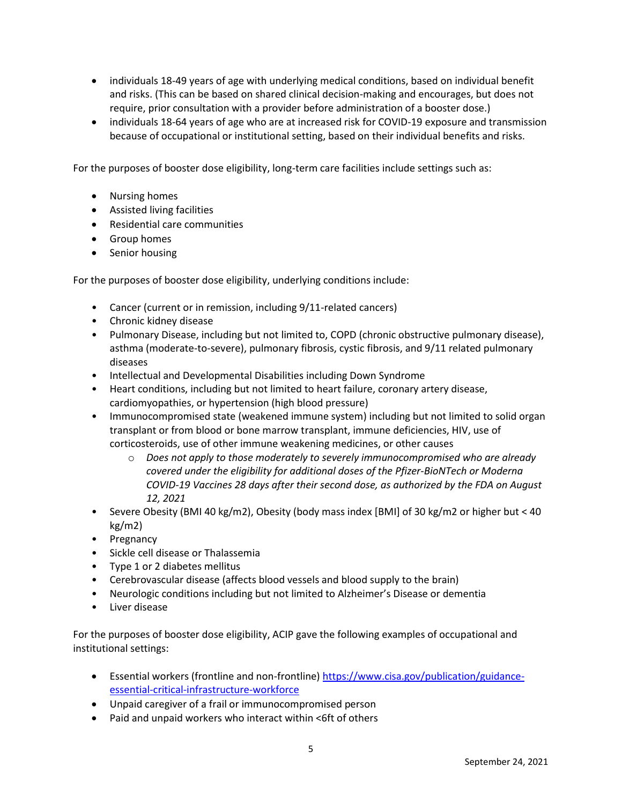- individuals 18-49 years of age with underlying medical conditions, based on individual benefit and risks. (This can be based on shared clinical decision-making and encourages, but does not require, prior consultation with a provider before administration of a booster dose.)
- individuals 18-64 years of age who are at increased risk for COVID-19 exposure and transmission because of occupational or institutional setting, based on their individual benefits and risks.

For the purposes of booster dose eligibility, long-term care facilities include settings such as:

- Nursing homes
- Assisted living facilities
- Residential care communities
- Group homes
- Senior housing

For the purposes of booster dose eligibility, underlying conditions include:

- Cancer (current or in remission, including 9/11-related cancers)
- Chronic kidney disease
- Pulmonary Disease, including but not limited to, COPD (chronic obstructive pulmonary disease), asthma (moderate-to-severe), pulmonary fibrosis, cystic fibrosis, and 9/11 related pulmonary diseases
- Intellectual and Developmental Disabilities including Down Syndrome
- Heart conditions, including but not limited to heart failure, coronary artery disease, cardiomyopathies, or hypertension (high blood pressure)
- Immunocompromised state (weakened immune system) including but not limited to solid organ transplant or from blood or bone marrow transplant, immune deficiencies, HIV, use of corticosteroids, use of other immune weakening medicines, or other causes
	- o *Does not apply to those moderately to severely immunocompromised who are already covered under the eligibility for additional doses of the Pfizer-BioNTech or Moderna COVID-19 Vaccines 28 days after their second dose, as authorized by the FDA on August 12, 2021*
- Severe Obesity (BMI 40 kg/m2), Obesity (body mass index [BMI] of 30 kg/m2 or higher but < 40 kg/m2)
- Pregnancy
- Sickle cell disease or Thalassemia
- Type 1 or 2 diabetes mellitus
- Cerebrovascular disease (affects blood vessels and blood supply to the brain)
- Neurologic conditions including but not limited to Alzheimer's Disease or dementia
- Liver disease

For the purposes of booster dose eligibility, ACIP gave the following examples of occupational and institutional settings:

- Essential workers (frontline and non-frontline) [https://www.cisa.gov/publication/guidance](https://www.cisa.gov/publication/guidance-essential-critical-infrastructure-workforce)[essential-critical-infrastructure-workforce](https://www.cisa.gov/publication/guidance-essential-critical-infrastructure-workforce)
- Unpaid caregiver of a frail or immunocompromised person
- Paid and unpaid workers who interact within <6ft of others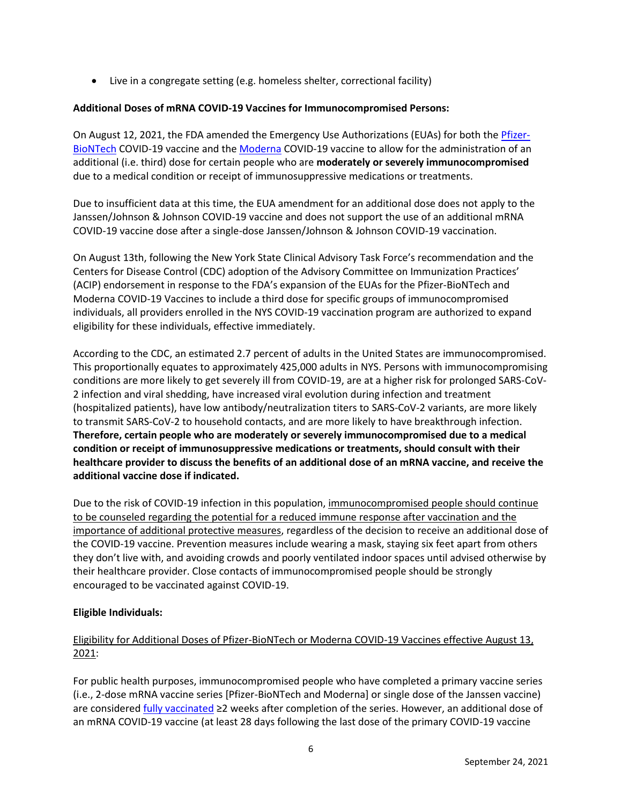• Live in a congregate setting (e.g. homeless shelter, correctional facility)

# **Additional Doses of mRNA COVID-19 Vaccines for Immunocompromised Persons:**

On August 12, 2021, the FDA amended the Emergency Use Authorizations (EUAs) for both the [Pfizer-](https://www.fda.gov/media/150386/download)[BioNTech](https://www.fda.gov/media/150386/download) COVID-19 vaccine and th[e Moderna](https://www.fda.gov/media/144636/download) COVID-19 vaccine to allow for the administration of an additional (i.e. third) dose for certain people who are **moderately or severely immunocompromised** due to a medical condition or receipt of immunosuppressive medications or treatments.

Due to insufficient data at this time, the EUA amendment for an additional dose does not apply to the Janssen/Johnson & Johnson COVID-19 vaccine and does not support the use of an additional mRNA COVID-19 vaccine dose after a single-dose Janssen/Johnson & Johnson COVID-19 vaccination.

On August 13th, following the New York State Clinical Advisory Task Force's recommendation and the Centers for Disease Control (CDC) adoption of the Advisory Committee on Immunization Practices' (ACIP) endorsement in response to the FDA's expansion of the EUAs for the Pfizer-BioNTech and Moderna COVID-19 Vaccines to include a third dose for specific groups of immunocompromised individuals, all providers enrolled in the NYS COVID-19 vaccination program are authorized to expand eligibility for these individuals, effective immediately.

According to the CDC, an estimated 2.7 percent of adults in the United States are immunocompromised. This proportionally equates to approximately 425,000 adults in NYS. Persons with immunocompromising conditions are more likely to get severely ill from COVID-19, are at a higher risk for prolonged SARS-CoV-2 infection and viral shedding, have increased viral evolution during infection and treatment (hospitalized patients), have low antibody/neutralization titers to SARS-CoV-2 variants, are more likely to transmit SARS-CoV-2 to household contacts, and are more likely to have breakthrough infection. **Therefore, certain people who are moderately or severely immunocompromised due to a medical condition or receipt of immunosuppressive medications or treatments, should consult with their healthcare provider to discuss the benefits of an additional dose of an mRNA vaccine, and receive the additional vaccine dose if indicated.**

Due to the risk of COVID-19 infection in this population, immunocompromised people should continue to be counseled regarding the potential for a reduced immune response after vaccination and the importance of additional protective measures, regardless of the decision to receive an additional dose of the COVID-19 vaccine. Prevention measures include wearing a mask, staying six feet apart from others they don't live with, and avoiding crowds and poorly ventilated indoor spaces until advised otherwise by their healthcare provider. Close contacts of immunocompromised people should be strongly encouraged to be vaccinated against COVID-19.

# **Eligible Individuals:**

# Eligibility for Additional Doses of Pfizer-BioNTech or Moderna COVID-19 Vaccines effective August 13, 2021:

For public health purposes, immunocompromised people who have completed a primary vaccine series (i.e., 2-dose mRNA vaccine series [Pfizer-BioNTech and Moderna] or single dose of the Janssen vaccine) are considered *fully vaccinated* ≥2 weeks after completion of the series. However, an additional dose of an mRNA COVID-19 vaccine (at least 28 days following the last dose of the primary COVID-19 vaccine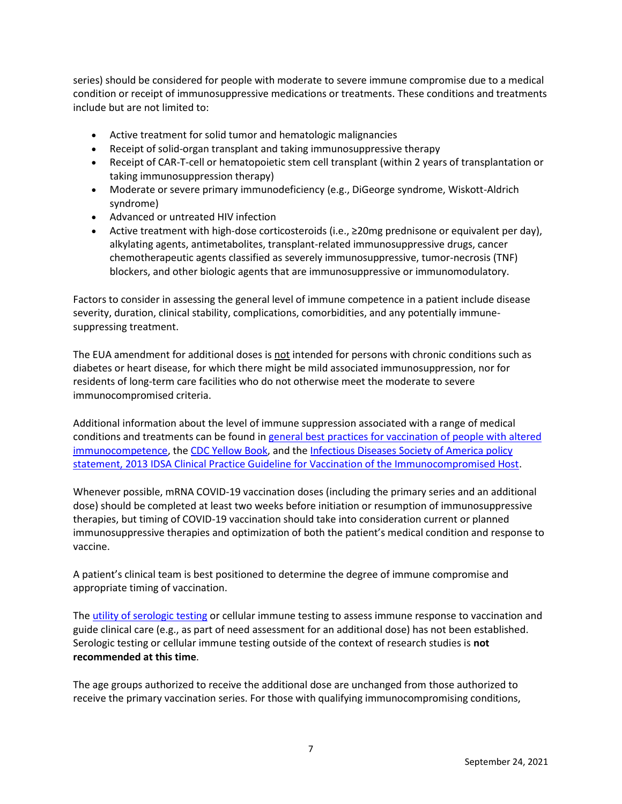series) should be considered for people with moderate to severe immune compromise due to a medical condition or receipt of immunosuppressive medications or treatments. These conditions and treatments include but are not limited to:

- Active treatment for solid tumor and hematologic malignancies
- Receipt of solid-organ transplant and taking immunosuppressive therapy
- Receipt of CAR-T-cell or hematopoietic stem cell transplant (within 2 years of transplantation or taking immunosuppression therapy)
- Moderate or severe primary immunodeficiency (e.g., DiGeorge syndrome, Wiskott-Aldrich syndrome)
- Advanced or untreated HIV infection
- Active treatment with high-dose corticosteroids (i.e., ≥20mg prednisone or equivalent per day), alkylating agents, antimetabolites, transplant-related immunosuppressive drugs, cancer chemotherapeutic agents classified as severely immunosuppressive, tumor-necrosis (TNF) blockers, and other biologic agents that are immunosuppressive or immunomodulatory.

Factors to consider in assessing the general level of immune competence in a patient include disease severity, duration, clinical stability, complications, comorbidities, and any potentially immunesuppressing treatment.

The EUA amendment for additional doses is not intended for persons with chronic conditions such as diabetes or heart disease, for which there might be mild associated immunosuppression, nor for residents of long-term care facilities who do not otherwise meet the moderate to severe immunocompromised criteria.

Additional information about the level of immune suppression associated with a range of medical conditions and treatments can be found i[n general best practices for vaccination of people with altered](https://www.cdc.gov/vaccines/hcp/acip-recs/general-recs/immunocompetence.html)  [immunocompetence,](https://www.cdc.gov/vaccines/hcp/acip-recs/general-recs/immunocompetence.html) th[e CDC Yellow Book,](https://wwwnc.cdc.gov/travel/yellowbook/2020/travelers-with-additional-considerations/immunocompromised-travelers) and the [Infectious Diseases Society of America policy](https://academic.oup.com/cid/article/58/3/e44/336537)  [statement, 2013 IDSA Clinical Practice Guideline for Vaccination of the Immunocompromised Host.](https://academic.oup.com/cid/article/58/3/e44/336537)

Whenever possible, mRNA COVID-19 vaccination doses (including the primary series and an additional dose) should be completed at least two weeks before initiation or resumption of immunosuppressive therapies, but timing of COVID-19 vaccination should take into consideration current or planned immunosuppressive therapies and optimization of both the patient's medical condition and response to vaccine.

A patient's clinical team is best positioned to determine the degree of immune compromise and appropriate timing of vaccination.

The [utility of serologic testing](https://www.fda.gov/medical-devices/safety-communications/antibody-testing-not-currently-recommended-assess-immunity-after-covid-19-vaccination-fda-safety) or cellular immune testing to assess immune response to vaccination and guide clinical care (e.g., as part of need assessment for an additional dose) has not been established. Serologic testing or cellular immune testing outside of the context of research studies is **not recommended at this time**.

The age groups authorized to receive the additional dose are unchanged from those authorized to receive the primary vaccination series. For those with qualifying immunocompromising conditions,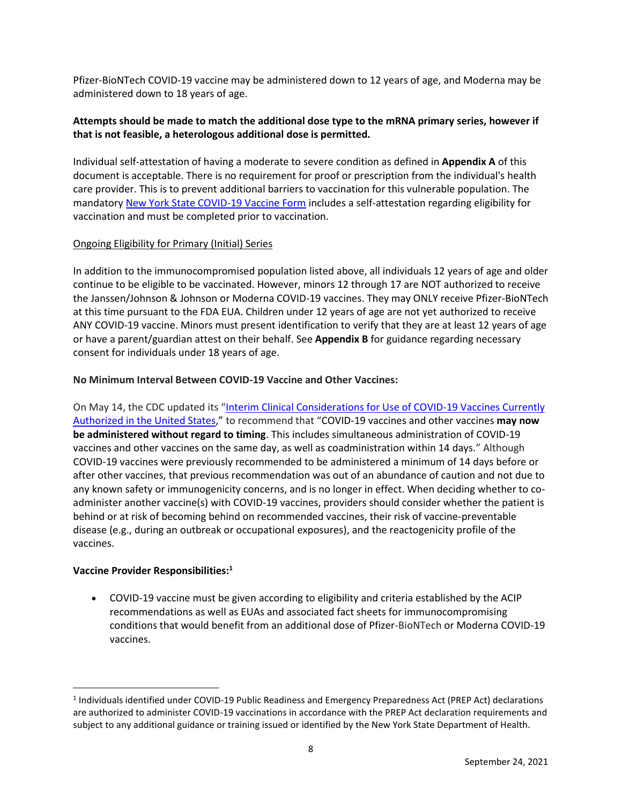Pfizer-BioNTech COVID-19 vaccine may be administered down to 12 years of age, and Moderna may be administered down to 18 years of age.

## **Attempts should be made to match the additional dose type to the mRNA primary series, however if that is not feasible, a heterologous additional dose is permitted.**

Individual self-attestation of having a moderate to severe condition as defined in **Appendix A** of this document is acceptable. There is no requirement for proof or prescription from the individual's health care provider. This is to prevent additional barriers to vaccination for this vulnerable population. The mandator[y New York State COVID-19 Vaccine Form](https://forms.ny.gov/s3/vaccine) includes a self-attestation regarding eligibility for vaccination and must be completed prior to vaccination.

### Ongoing Eligibility for Primary (Initial) Series

In addition to the immunocompromised population listed above, all individuals 12 years of age and older continue to be eligible to be vaccinated. However, minors 12 through 17 are NOT authorized to receive the Janssen/Johnson & Johnson or Moderna COVID-19 vaccines. They may ONLY receive Pfizer-BioNTech at this time pursuant to the FDA EUA. Children under 12 years of age are not yet authorized to receive ANY COVID-19 vaccine. Minors must present identification to verify that they are at least 12 years of age or have a parent/guardian attest on their behalf. See **Appendix B** for guidance regarding necessary consent for individuals under 18 years of age.

### **No Minimum Interval Between COVID-19 Vaccine and Other Vaccines:**

On May 14, the CDC updated its "Interim Clinical Considerations for Use of COVID-19 Vaccines Currently [Authorized in the United States](https://www.cdc.gov/vaccines/covid-19/info-by-product/clinical-considerations.html)," to recommend that "COVID-19 vaccines and other vaccines **may now be administered without regard to timing**. This includes simultaneous administration of COVID-19 vaccines and other vaccines on the same day, as well as coadministration within 14 days." Although COVID-19 vaccines were previously recommended to be administered a minimum of 14 days before or after other vaccines, that previous recommendation was out of an abundance of caution and not due to any known safety or immunogenicity concerns, and is no longer in effect. When deciding whether to coadminister another vaccine(s) with COVID-19 vaccines, providers should consider whether the patient is behind or at risk of becoming behind on recommended vaccines, their risk of vaccine-preventable disease (e.g., during an outbreak or occupational exposures), and the reactogenicity profile of the vaccines.

#### **Vaccine Provider Responsibilities:<sup>1</sup>**

• COVID-19 vaccine must be given according to eligibility and criteria established by the ACIP recommendations as well as EUAs and associated fact sheets for immunocompromising conditions that would benefit from an additional dose of Pfizer-BioNTech or Moderna COVID-19 vaccines.

<sup>1</sup> Individuals identified under COVID-19 Public Readiness and Emergency Preparedness Act (PREP Act) declarations are authorized to administer COVID-19 vaccinations in accordance with the PREP Act declaration requirements and subject to any additional guidance or training issued or identified by the New York State Department of Health.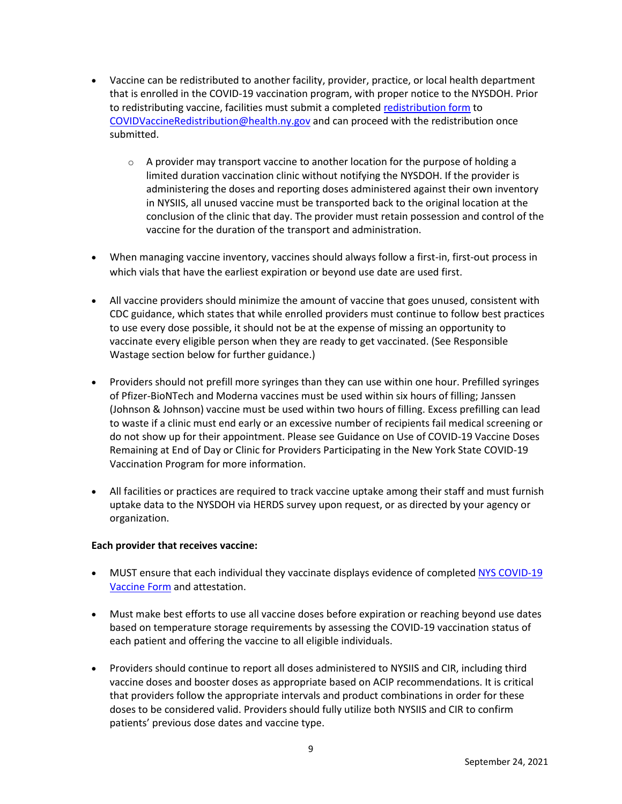- Vaccine can be redistributed to another facility, provider, practice, or local health department that is enrolled in the COVID-19 vaccination program, with proper notice to the NYSDOH. Prior to redistributing vaccine, facilities must submit a complete[d redistribution form](https://coronavirus.health.ny.gov/system/files/documents/2021/05/vaccine_program_redistribution_5.21.21.pdf) to [COVIDVaccineRedistribution@health.ny.gov](mailto:COVIDVaccineRedistribution@health.ny.gov) and can proceed with the redistribution once submitted.
	- $\circ$  A provider may transport vaccine to another location for the purpose of holding a limited duration vaccination clinic without notifying the NYSDOH. If the provider is administering the doses and reporting doses administered against their own inventory in NYSIIS, all unused vaccine must be transported back to the original location at the conclusion of the clinic that day. The provider must retain possession and control of the vaccine for the duration of the transport and administration.
- When managing vaccine inventory, vaccines should always follow a first-in, first-out process in which vials that have the earliest expiration or beyond use date are used first.
- All vaccine providers should minimize the amount of vaccine that goes unused, consistent with CDC guidance, which states that while enrolled providers must continue to follow best practices to use every dose possible, it should not be at the expense of missing an opportunity to vaccinate every eligible person when they are ready to get vaccinated. (See Responsible Wastage section below for further guidance.)
- Providers should not prefill more syringes than they can use within one hour. Prefilled syringes of Pfizer-BioNTech and Moderna vaccines must be used within six hours of filling; Janssen (Johnson & Johnson) vaccine must be used within two hours of filling. Excess prefilling can lead to waste if a clinic must end early or an excessive number of recipients fail medical screening or do not show up for their appointment. Please see Guidance on Use of COVID-19 Vaccine Doses Remaining at End of Day or Clinic for Providers Participating in the New York State COVID-19 Vaccination Program for more information.
- All facilities or practices are required to track vaccine uptake among their staff and must furnish uptake data to the NYSDOH via HERDS survey upon request, or as directed by your agency or organization.

## **Each provider that receives vaccine:**

- MUST ensure that each individual they vaccinate displays evidence of completed [NYS COVID-19](https://forms.ny.gov/s3/vaccine)  [Vaccine Form](https://forms.ny.gov/s3/vaccine) and attestation.
- Must make best efforts to use all vaccine doses before expiration or reaching beyond use dates based on temperature storage requirements by assessing the COVID-19 vaccination status of each patient and offering the vaccine to all eligible individuals.
- Providers should continue to report all doses administered to NYSIIS and CIR, including third vaccine doses and booster doses as appropriate based on ACIP recommendations. It is critical that providers follow the appropriate intervals and product combinations in order for these doses to be considered valid. Providers should fully utilize both NYSIIS and CIR to confirm patients' previous dose dates and vaccine type.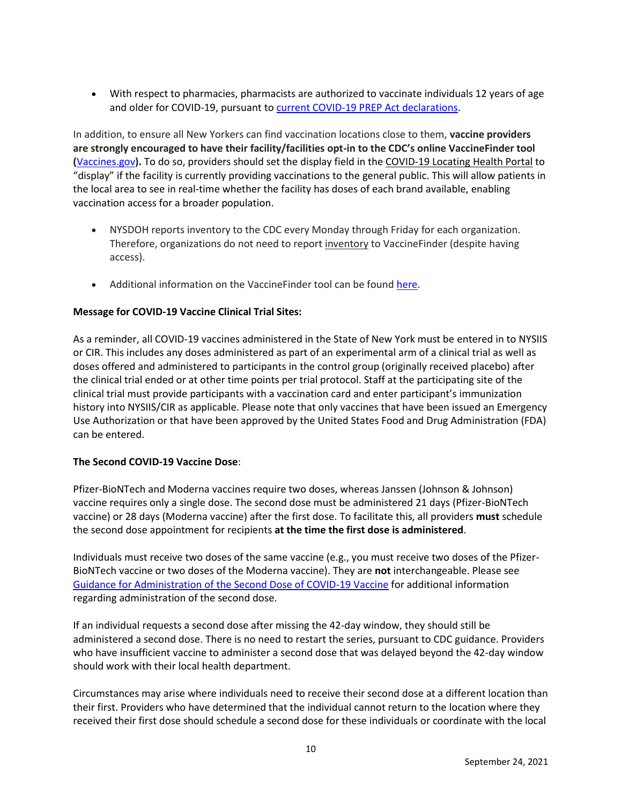• With respect to pharmacies, pharmacists are authorized to vaccinate individuals 12 years of age and older for COVID-19, pursuant to [current COVID-19 PREP Act declarations.](https://www.phe.gov/Preparedness/legal/prepact/Pages/default.aspx)

In addition, to ensure all New Yorkers can find vaccination locations close to them, **vaccine providers are strongly encouraged to have their facility/facilities opt-in to the CDC's online VaccineFinder tool (**[Vaccines.gov](https://www.vaccines.gov/)**).** To do so, providers should set the display field in the COVID-19 Locating Health Portal to "display" if the facility is currently providing vaccinations to the general public. This will allow patients in the local area to see in real-time whether the facility has doses of each brand available, enabling vaccination access for a broader population.

- NYSDOH reports inventory to the CDC every Monday through Friday for each organization. Therefore, organizations do not need to report inventory to VaccineFinder (despite having access).
- Additional information on the Vaccine Finder tool can be found [here.](https://www.vaccines.gov/covid-provider-resources/)

## **Message for COVID-19 Vaccine Clinical Trial Sites:**

As a reminder, all COVID-19 vaccines administered in the State of New York must be entered in to NYSIIS or CIR. This includes any doses administered as part of an experimental arm of a clinical trial as well as doses offered and administered to participants in the control group (originally received placebo) after the clinical trial ended or at other time points per trial protocol. Staff at the participating site of the clinical trial must provide participants with a vaccination card and enter participant's immunization history into NYSIIS/CIR as applicable. Please note that only vaccines that have been issued an Emergency Use Authorization or that have been approved by the United States Food and Drug Administration (FDA) can be entered.

## **The Second COVID-19 Vaccine Dose**:

Pfizer-BioNTech and Moderna vaccines require two doses, whereas Janssen (Johnson & Johnson) vaccine requires only a single dose. The second dose must be administered 21 days (Pfizer-BioNTech vaccine) or 28 days (Moderna vaccine) after the first dose. To facilitate this, all providers **must** schedule the second dose appointment for recipients **at the time the first dose is administered**.

Individuals must receive two doses of the same vaccine (e.g., you must receive two doses of the Pfizer-BioNTech vaccine or two doses of the Moderna vaccine). They are **not** interchangeable. Please see [Guidance for Administration of the Second Dose of COVID-19 Vaccine](https://coronavirus.health.ny.gov/guidance-administration-second-dose) for additional information regarding administration of the second dose.

If an individual requests a second dose after missing the 42-day window, they should still be administered a second dose. There is no need to restart the series, pursuant to CDC guidance. Providers who have insufficient vaccine to administer a second dose that was delayed beyond the 42-day window should work with their local health department.

Circumstances may arise where individuals need to receive their second dose at a different location than their first. Providers who have determined that the individual cannot return to the location where they received their first dose should schedule a second dose for these individuals or coordinate with the local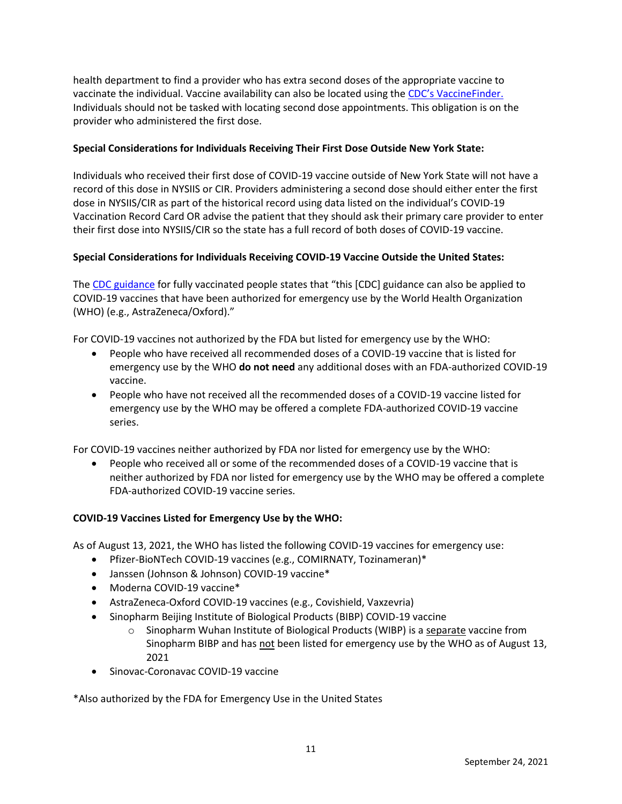health department to find a provider who has extra second doses of the appropriate vaccine to vaccinate the individual. Vaccine availability can also be located using the [CDC's VaccineFinder.](https://www.vaccines.gov/) Individuals should not be tasked with locating second dose appointments. This obligation is on the provider who administered the first dose.

## **Special Considerations for Individuals Receiving Their First Dose Outside New York State:**

Individuals who received their first dose of COVID-19 vaccine outside of New York State will not have a record of this dose in NYSIIS or CIR. Providers administering a second dose should either enter the first dose in NYSIIS/CIR as part of the historical record using data listed on the individual's COVID-19 Vaccination Record Card OR advise the patient that they should ask their primary care provider to enter their first dose into NYSIIS/CIR so the state has a full record of both doses of COVID-19 vaccine.

## **Special Considerations for Individuals Receiving COVID-19 Vaccine Outside the United States:**

The [CDC guidance](https://www.cdc.gov/coronavirus/2019-ncov/vaccines/fully-vaccinated.html#footnote) for fully vaccinated people states that "this [CDC] guidance can also be applied to COVID-19 vaccines that have been authorized for emergency use by the World Health Organization (WHO) (e.g., AstraZeneca/Oxford)."

For COVID-19 vaccines not authorized by the FDA but listed for emergency use by the WHO:

- People who have received all recommended doses of a COVID-19 vaccine that is listed for emergency use by the WHO **do not need** any additional doses with an FDA-authorized COVID-19 vaccine.
- People who have not received all the recommended doses of a COVID-19 vaccine listed for emergency use by the WHO may be offered a complete FDA-authorized COVID-19 vaccine series.

For COVID-19 vaccines neither authorized by FDA nor listed for emergency use by the WHO:

• People who received all or some of the recommended doses of a COVID-19 vaccine that is neither authorized by FDA nor listed for emergency use by the WHO may be offered a complete FDA-authorized COVID-19 vaccine series.

## **COVID-19 Vaccines Listed for Emergency Use by the WHO:**

As of August 13, 2021, the WHO has listed the following COVID-19 vaccines for emergency use:

- Pfizer-BioNTech COVID-19 vaccines (e.g., COMIRNATY, Tozinameran)\*
- Janssen (Johnson & Johnson) COVID-19 vaccine\*
- Moderna COVID-19 vaccine\*
- AstraZeneca-Oxford COVID-19 vaccines (e.g., Covishield, Vaxzevria)
- Sinopharm Beijing Institute of Biological Products (BIBP) COVID-19 vaccine
	- $\circ$  Sinopharm Wuhan Institute of Biological Products (WIBP) is a separate vaccine from Sinopharm BIBP and has not been listed for emergency use by the WHO as of August 13, 2021
- Sinovac-Coronavac COVID-19 vaccine

\*Also authorized by the FDA for Emergency Use in the United States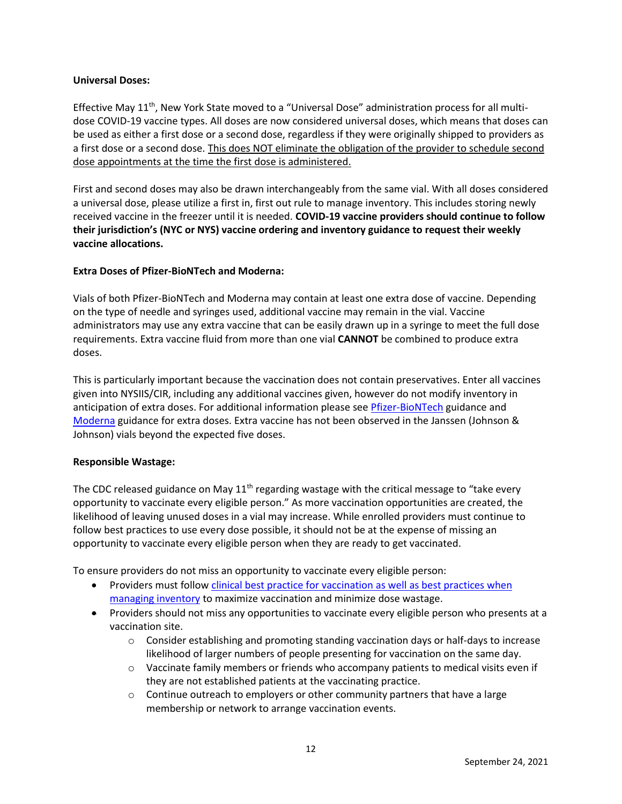### **Universal Doses:**

Effective May  $11<sup>th</sup>$ , New York State moved to a "Universal Dose" administration process for all multidose COVID-19 vaccine types. All doses are now considered universal doses, which means that doses can be used as either a first dose or a second dose, regardless if they were originally shipped to providers as a first dose or a second dose. This does NOT eliminate the obligation of the provider to schedule second dose appointments at the time the first dose is administered.

First and second doses may also be drawn interchangeably from the same vial. With all doses considered a universal dose, please utilize a first in, first out rule to manage inventory. This includes storing newly received vaccine in the freezer until it is needed. **COVID-19 vaccine providers should continue to follow their jurisdiction's (NYC or NYS) vaccine ordering and inventory guidance to request their weekly vaccine allocations.**

## **Extra Doses of Pfizer-BioNTech and Moderna:**

Vials of both Pfizer-BioNTech and Moderna may contain at least one extra dose of vaccine. Depending on the type of needle and syringes used, additional vaccine may remain in the vial. Vaccine administrators may use any extra vaccine that can be easily drawn up in a syringe to meet the full dose requirements. Extra vaccine fluid from more than one vial **CANNOT** be combined to produce extra doses.

This is particularly important because the vaccination does not contain preservatives. Enter all vaccines given into NYSIIS/CIR, including any additional vaccines given, however do not modify inventory in anticipation of extra doses. For additional information please see **Pfizer-BioNTech** guidance and [Moderna](https://coronavirus.health.ny.gov/system/files/documents/2021/01/modernaextradosepackage.pdf) guidance for extra doses. Extra vaccine has not been observed in the Janssen (Johnson & Johnson) vials beyond the expected five doses.

## **Responsible Wastage:**

The CDC released guidance on May  $11<sup>th</sup>$  regarding wastage with the critical message to "take every opportunity to vaccinate every eligible person." As more vaccination opportunities are created, the likelihood of leaving unused doses in a vial may increase. While enrolled providers must continue to follow best practices to use every dose possible, it should not be at the expense of missing an opportunity to vaccinate every eligible person when they are ready to get vaccinated.

To ensure providers do not miss an opportunity to vaccinate every eligible person:

- Providers must follow clinical best practice for vaccination as well as best practices when [managing inventory](https://www.cdc.gov/vaccines/pubs/pinkbook/strat.html) to maximize vaccination and minimize dose wastage.
- Providers should not miss any opportunities to vaccinate every eligible person who presents at a vaccination site.
	- o Consider establishing and promoting standing vaccination days or half-days to increase likelihood of larger numbers of people presenting for vaccination on the same day.
	- $\circ$  Vaccinate family members or friends who accompany patients to medical visits even if they are not established patients at the vaccinating practice.
	- $\circ$  Continue outreach to employers or other community partners that have a large membership or network to arrange vaccination events.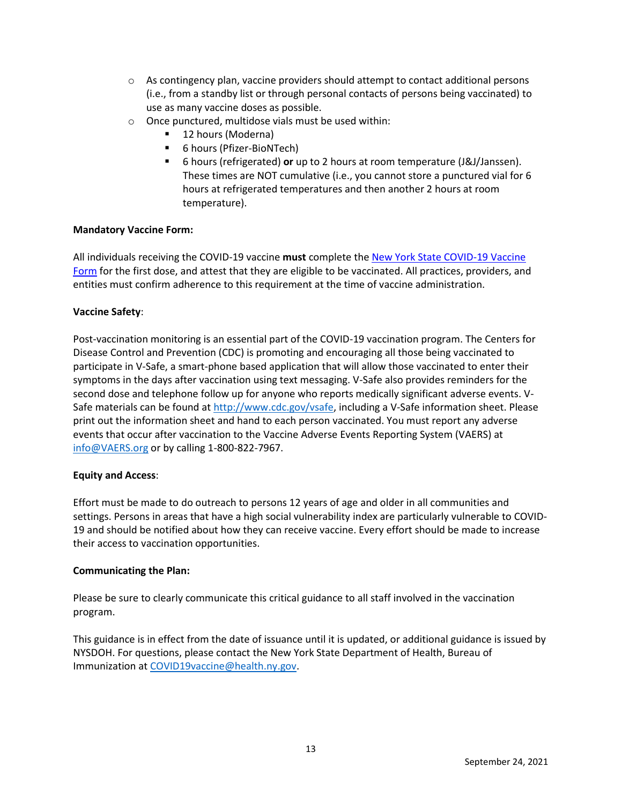- $\circ$  As contingency plan, vaccine providers should attempt to contact additional persons (i.e., from a standby list or through personal contacts of persons being vaccinated) to use as many vaccine doses as possible.
- o Once punctured, multidose vials must be used within:
	- 12 hours (Moderna)
	- 6 hours (Pfizer-BioNTech)
	- 6 hours (refrigerated) or up to 2 hours at room temperature (J&J/Janssen). These times are NOT cumulative (i.e., you cannot store a punctured vial for 6 hours at refrigerated temperatures and then another 2 hours at room temperature).

### **Mandatory Vaccine Form:**

All individuals receiving the COVID-19 vaccine **must** complete the [New York State COVID-19 Vaccine](https://forms.ny.gov/s3/vaccine)  [Form](https://forms.ny.gov/s3/vaccine) for the first dose, and attest that they are eligible to be vaccinated. All practices, providers, and entities must confirm adherence to this requirement at the time of vaccine administration.

### **Vaccine Safety**:

Post-vaccination monitoring is an essential part of the COVID-19 vaccination program. The Centers for Disease Control and Prevention (CDC) is promoting and encouraging all those being vaccinated to participate in V-Safe, a smart-phone based application that will allow those vaccinated to enter their symptoms in the days after vaccination using text messaging. V-Safe also provides reminders for the second dose and telephone follow up for anyone who reports medically significant adverse events. VSafe materials can be found at [http://www.cdc.gov/vsafe,](http://www.cdc.gov/vsafe) including a V-Safe information sheet. Please print out the information sheet and hand to each person vaccinated. You must report any adverse events that occur after vaccination to the Vaccine Adverse Events Reporting System (VAERS) at [info@VAERS.org](mailto:info@VAERS.org) or by calling 1-800-822-7967.

## **Equity and Access**:

Effort must be made to do outreach to persons 12 years of age and older in all communities and settings. Persons in areas that have a high social vulnerability index are particularly vulnerable to COVID-19 and should be notified about how they can receive vaccine. Every effort should be made to increase their access to vaccination opportunities.

#### **Communicating the Plan:**

Please be sure to clearly communicate this critical guidance to all staff involved in the vaccination program.  

This guidance is in effect from the date of issuance until it is updated, or additional guidance is issued by NYSDOH. For questions, please contact the New York State Department of Health, Bureau of Immunization at [COVID19vaccine@health.ny.gov.](mailto:COVID19vaccine@health.ny.gov)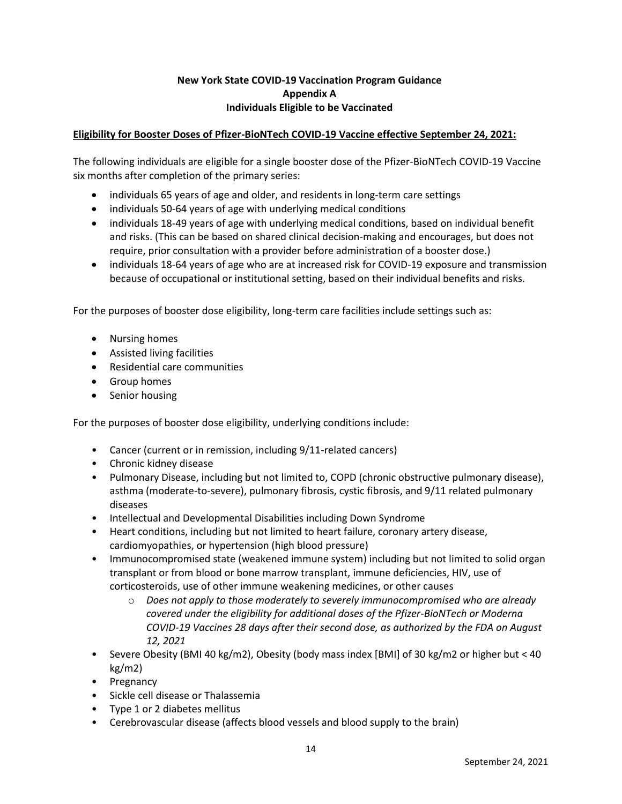## **New York State COVID-19 Vaccination Program Guidance Appendix A Individuals Eligible to be Vaccinated**

## **Eligibility for Booster Doses of Pfizer-BioNTech COVID-19 Vaccine effective September 24, 2021:**

The following individuals are eligible for a single booster dose of the Pfizer-BioNTech COVID-19 Vaccine six months after completion of the primary series:

- individuals 65 years of age and older, and residents in long-term care settings
- individuals 50-64 years of age with underlying medical conditions
- individuals 18-49 years of age with underlying medical conditions, based on individual benefit and risks. (This can be based on shared clinical decision-making and encourages, but does not require, prior consultation with a provider before administration of a booster dose.)
- individuals 18-64 years of age who are at increased risk for COVID-19 exposure and transmission because of occupational or institutional setting, based on their individual benefits and risks.

For the purposes of booster dose eligibility, long-term care facilities include settings such as:

- Nursing homes
- Assisted living facilities
- Residential care communities
- Group homes
- Senior housing

For the purposes of booster dose eligibility, underlying conditions include:

- Cancer (current or in remission, including 9/11-related cancers)
- Chronic kidney disease
- Pulmonary Disease, including but not limited to, COPD (chronic obstructive pulmonary disease), asthma (moderate-to-severe), pulmonary fibrosis, cystic fibrosis, and 9/11 related pulmonary diseases
- Intellectual and Developmental Disabilities including Down Syndrome
- Heart conditions, including but not limited to heart failure, coronary artery disease, cardiomyopathies, or hypertension (high blood pressure)
- Immunocompromised state (weakened immune system) including but not limited to solid organ transplant or from blood or bone marrow transplant, immune deficiencies, HIV, use of corticosteroids, use of other immune weakening medicines, or other causes
	- o *Does not apply to those moderately to severely immunocompromised who are already covered under the eligibility for additional doses of the Pfizer-BioNTech or Moderna COVID-19 Vaccines 28 days after their second dose, as authorized by the FDA on August 12, 2021*
- Severe Obesity (BMI 40 kg/m2), Obesity (body mass index [BMI] of 30 kg/m2 or higher but < 40 kg/m2)
- Pregnancy
- Sickle cell disease or Thalassemia
- Type 1 or 2 diabetes mellitus
- Cerebrovascular disease (affects blood vessels and blood supply to the brain)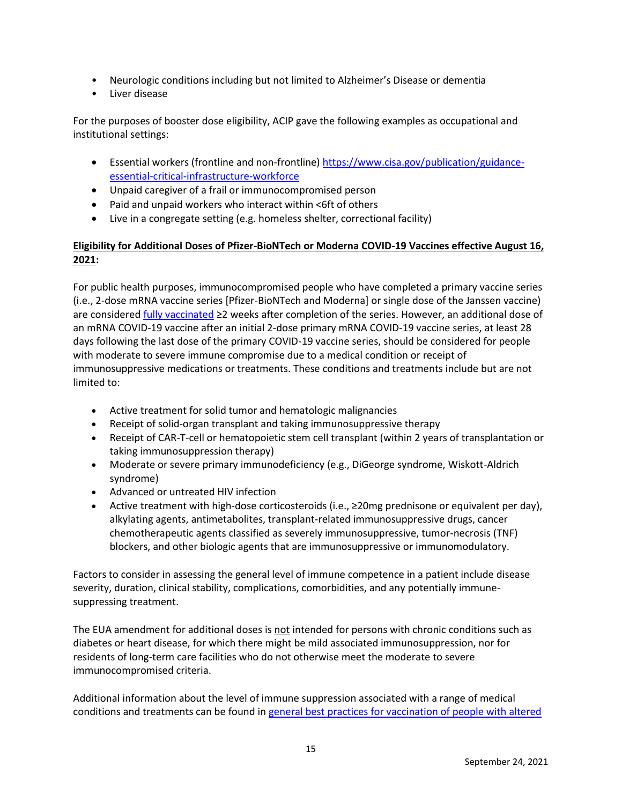- Neurologic conditions including but not limited to Alzheimer's Disease or dementia
- Liver disease

For the purposes of booster dose eligibility, ACIP gave the following examples as occupational and institutional settings:

- Essential workers (frontline and non-frontline) [https://www.cisa.gov/publication/guidance](https://www.cisa.gov/publication/guidance-essential-critical-infrastructure-workforce)[essential-critical-infrastructure-workforce](https://www.cisa.gov/publication/guidance-essential-critical-infrastructure-workforce)
- Unpaid caregiver of a frail or immunocompromised person
- Paid and unpaid workers who interact within <6ft of others
- Live in a congregate setting (e.g. homeless shelter, correctional facility)

# **Eligibility for Additional Doses of Pfizer-BioNTech or Moderna COVID-19 Vaccines effective August 16, 2021:**

For public health purposes, immunocompromised people who have completed a primary vaccine series (i.e., 2-dose mRNA vaccine series [Pfizer-BioNTech and Moderna] or single dose of the Janssen vaccine) are considered [fully vaccinated](https://www.cdc.gov/vaccines/covid-19/clinical-considerations/covid-19-vaccines-us.html#Administration) ≥2 weeks after completion of the series. However, an additional dose of an mRNA COVID-19 vaccine after an initial 2-dose primary mRNA COVID-19 vaccine series, at least 28 days following the last dose of the primary COVID-19 vaccine series, should be considered for people with moderate to severe immune compromise due to a medical condition or receipt of immunosuppressive medications or treatments. These conditions and treatments include but are not limited to:

- Active treatment for solid tumor and hematologic malignancies
- Receipt of solid-organ transplant and taking immunosuppressive therapy
- Receipt of CAR-T-cell or hematopoietic stem cell transplant (within 2 years of transplantation or taking immunosuppression therapy)
- Moderate or severe primary immunodeficiency (e.g., DiGeorge syndrome, Wiskott-Aldrich syndrome)
- Advanced or untreated HIV infection
- Active treatment with high-dose corticosteroids (i.e., ≥20mg prednisone or equivalent per day), alkylating agents, antimetabolites, transplant-related immunosuppressive drugs, cancer chemotherapeutic agents classified as severely immunosuppressive, tumor-necrosis (TNF) blockers, and other biologic agents that are immunosuppressive or immunomodulatory.

Factors to consider in assessing the general level of immune competence in a patient include disease severity, duration, clinical stability, complications, comorbidities, and any potentially immunesuppressing treatment.

The EUA amendment for additional doses is not intended for persons with chronic conditions such as diabetes or heart disease, for which there might be mild associated immunosuppression, nor for residents of long-term care facilities who do not otherwise meet the moderate to severe immunocompromised criteria.

Additional information about the level of immune suppression associated with a range of medical conditions and treatments can be found i[n general best practices for vaccination of people with altered](https://www.cdc.gov/vaccines/hcp/acip-recs/general-recs/immunocompetence.html)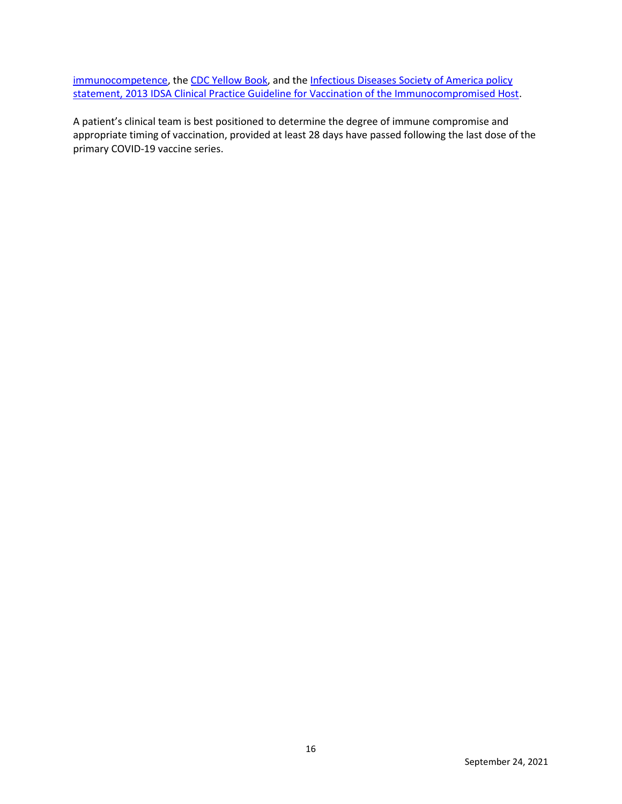[immunocompetence,](https://www.cdc.gov/vaccines/hcp/acip-recs/general-recs/immunocompetence.html) th[e CDC Yellow Book,](https://wwwnc.cdc.gov/travel/yellowbook/2020/travelers-with-additional-considerations/immunocompromised-travelers) and the Infectious Diseases Society of America policy [statement, 2013 IDSA Clinical Practice Guideline for Vaccination of the Immunocompromised Host.](https://academic.oup.com/cid/article/58/3/e44/336537)

A patient's clinical team is best positioned to determine the degree of immune compromise and appropriate timing of vaccination, provided at least 28 days have passed following the last dose of the primary COVID-19 vaccine series.